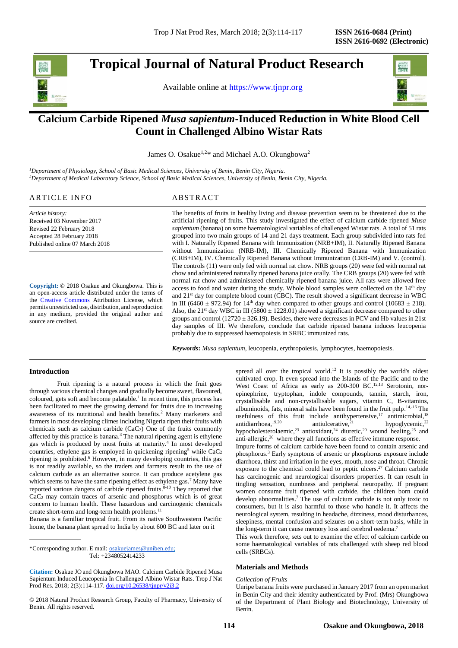**Tropical Journal of Natural Product Research** 

Available online at [https://www.tjnpr.org](https://www.tjnpr.org/)



# **Calcium Carbide Ripened** *Musa sapientum***-Induced Reduction in White Blood Cell Count in Challenged Albino Wistar Rats**

James O. Osakue<sup>1,2\*</sup> and Michael A.O. Okungbowa<sup>2</sup>

*<sup>1</sup>Department of Physiology, School of Basic Medical Sciences, University of Benin, Benin City, Nigeria. <sup>2</sup>Department of Medical Laboratory Science, School of Basic Medical Sciences, University of Benin, Benin City, Nigeria.*

# ARTICLE INFO ABSTRACT

*Article history:* Received 03 November 2017 Revised 22 February 2018 Accepted 28 February 2018 Published online 07 March 2018

**Copyright:** © 2018 Osakue and Okungbowa. This is an open-access article distributed under the terms of the [Creative Commons](https://creativecommons.org/licenses/by/4.0/) Attribution License, which permits unrestricted use, distribution, and reproduction in any medium, provided the original author and source are credited.

The benefits of fruits in healthy living and disease prevention seem to be threatened due to the artificial ripening of fruits. This study investigated the effect of calcium carbide ripened *Musa sapientum* (banana) on some haematological variables of challenged Wistar rats. A total of 51 rats grouped into two main groups of 14 and 21 days treatment. Each group subdivided into rats fed with I. Naturally Ripened Banana with Immunization (NRB+IM), II. Naturally Ripened Banana without Immunization (NRB-IM), III. Chemically Ripened Banana with Immunization (CRB+IM), IV. Chemically Ripened Banana without Immunization (CRB-IM) and V. (control). The controls (11) were only fed with normal rat chow. NRB groups (20) were fed with normal rat chow and administered naturally ripened banana juice orally. The CRB groups (20) were fed with normal rat chow and administered chemically ripened banana juice. All rats were allowed free access to food and water during the study. Whole blood samples were collected on the 14th day and 21st day for complete blood count (CBC). The result showed a significant decrease in WBC in III (6460  $\pm$  972.94) for 14<sup>th</sup> day when compared to other groups and control (10683  $\pm$  218). Also, the  $21^{st}$  day WBC in III (5800  $\pm$  1228.01) showed a significant decrease compared to other groups and control  $(12720 \pm 326.19)$ . Besides, there were decreases in PCV and Hb values in 21st day samples of III. We therefore, conclude that carbide ripened banana induces leucopenia probably due to suppressed haemopoiesis in SRBC immunized rats.

*Keywords***:** *Musa sapientum*, leucopenia, erythropoiesis, lymphocytes, haemopoiesis.

# **Introduction**

Fruit ripening is a natural process in which the fruit goes through various chemical changes and gradually become sweet, flavoured, coloured, gets soft and become palatable. 1 In recent time, this process has been facilitated to meet the growing demand for fruits due to increasing awareness of its nutritional and health benefits. <sup>2</sup> Many marketers and farmers in most developing climes including Nigeria ripen their fruits with chemicals such as calcium carbide  $(CaC<sub>2</sub>)$ . One of the fruits commonly affected by this practice is banana. <sup>3</sup> The natural ripening agent is ethylene gas which is produced by most fruits at maturity. 4 In most developed countries, ethylene gas is employed in quickening ripening<sup>5</sup> while  $CaC<sub>2</sub>$ ripening is prohibited. <sup>6</sup> However, in many developing countries, this gas is not readily available, so the traders and farmers result to the use of calcium carbide as an alternative source. It can produce acetylene gas which seems to have the same ripening effect as ethylene gas.<sup>7</sup> Many have reported various dangers of carbide ripened fruits.<sup>8-10</sup> They reported that CaC<sup>2</sup> may contain traces of arsenic and phosphorus which is of great concern to human health. These hazardous and carcinogenic chemicals create short-term and long-term health problems. 11

Banana is a familiar tropical fruit. From its native Southwestern Pacific home, the banana plant spread to India by about 600 BC and later on it

\*Corresponding author. E mail: [osakuejames@uniben.edu;](mailto:osakuejames@uniben.edu) Tel: +2348052414233

**Citation:** Osakue JO and Okungbowa MAO. Calcium Carbide Ripened Musa Sapientum Induced Leucopenia In Challenged Albino Wistar Rats. Trop J Nat Prod Res. 2018; 2(3):114-117. [doi.org/10.26538/tjnpr/v2i3.2](http://www.doi.org/10.26538/tjnpr/v1i4.5)

© 2018 Natural Product Research Group, Faculty of Pharmacy, University of Benin. All rights reserved.

spread all over the tropical world.<sup>12</sup> It is possibly the world's oldest cultivated crop. It even spread into the Islands of the Pacific and to the West Coast of Africa as early as 200-300 BC.<sup>12,13</sup> Serotonin, norepinephrine, tryptophan, indole compounds, tannin, starch, iron, crystallisable and non-crystallisable sugars, vitamin C, B-vitamins, albuminoids, fats, mineral salts have been found in the fruit pulp. 14,-16 The usefulness of this fruit include antihypertensive, $17$  antimicrobial,  $18$ antidiarrhoea, antiulcerative,<sup>21</sup> <sup>21</sup> hypoglycemic, 22 hypocholesterolaemic,<sup>23</sup> antioxidant,<sup>24</sup> diuretic,<sup>20</sup> wound healing,<sup>25</sup> and anti-allergic, 26 where they all functions as effective immune response.

Impure forms of calcium carbide have been found to contain arsenic and phosphorus. <sup>3</sup> Early symptoms of arsenic or phosphorus exposure include diarrhoea, thirst and irritation in the eyes, mouth, nose and throat. Chronic exposure to the chemical could lead to peptic ulcers.<sup>27</sup> Calcium carbide has carcinogenic and neurological disorders properties. It can result in tingling sensation, numbness and peripheral neuropathy. If pregnant women consume fruit ripened with carbide, the children born could develop abnormalities. <sup>7</sup> The use of calcium carbide is not only toxic to consumers, but it is also harmful to those who handle it. It affects the neurological system, resulting in headache, dizziness, mood disturbances, sleepiness, mental confusion and seizures on a short-term basis, while in the long-term it can cause memory loss and cerebral oedema.<sup>7</sup>

This work therefore, sets out to examine the effect of calcium carbide on some haematological variables of rats challenged with sheep red blood cells (SRBCs).

# **Materials and Methods**

#### *Collection of Fruits*

Unripe banana fruits were purchased in January 2017 from an open market in Benin City and their identity authenticated by Prof. (Mrs) Okungbowa of the Department of Plant Biology and Biotechnology, University of Benin.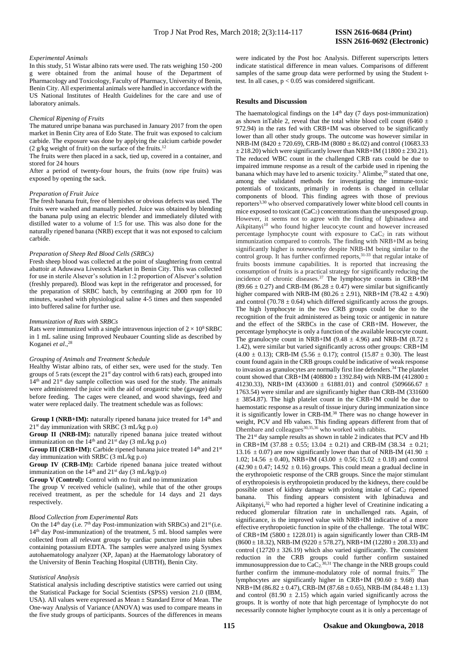### *Experimental Animals*

In this study, 51 Wistar albino rats were used. The rats weighing 150 -200 g were obtained from the animal house of the Department of Pharmacology and Toxicology, Faculty of Pharmacy, University of Benin, Benin City. All experimental animals were handled in accordance with the US National Institutes of Health Guidelines for the care and use of laboratory animals.

### *Chemical Ripening of Fruits*

The matured unripe banana was purchased in January 2017 from the open market in Benin City area of Edo State. The fruit was exposed to calcium carbide. The exposure was done by applying the calcium carbide powder  $(2 \text{ g/kg weight of fruit})$  on the surface of the fruits.<sup>12</sup>

The fruits were then placed in a sack, tied up, covered in a container, and stored for 24 hours

After a period of twenty-four hours, the fruits (now ripe fruits) was exposed by opening the sack.

#### *Preparation of Fruit Juice*

The fresh banana fruit, free of blemishes or obvious defects was used. The fruits were washed and manually peeled. Juice was obtained by blending the banana pulp using an electric blender and immediately diluted with distilled water to a volume of 1:5 for use. This was also done for the naturally ripened banana (NRB) except that it was not exposed to calcium carbide.

#### *Preparation of Sheep Red Blood Cells (SRBCs)*

Fresh sheep blood was collected at the point of slaughtering from central abattoir at Aduwawa Livestock Market in Benin City. This was collected for use in sterile Alsever's solution in 1:2 proportion of Alsever's solution (freshly prepared). Blood was kept in the refrigerator and processed, for the preparation of SRBC batch, by centrifuging at 2000 rpm for 10 minutes, washed with physiological saline 4-5 times and then suspended into buffered saline for further use.

#### *Immunization of Rats with SRBCs*

Rats were immunized with a single intravenous injection of  $2 \times 10^8$  SRBC in 1 mL saline using Improved Neubauer Counting slide as described by Koganei *et al*., 28

### *Grouping of Animals and Treatment Schedule*

Healthy Wistar albino rats, of either sex, were used for the study. Ten groups of 5 rats (except the  $21<sup>st</sup>$  day control with 6 rats) each, grouped into  $14<sup>th</sup>$  and  $21<sup>st</sup>$  day sample collection was used for the study. The animals were administered the juice with the aid of orogastric tube (gavage) daily before feeding. The cages were cleaned, and wood shavings, feed and water were replaced daily. The treatment schedule was as follows:

**Group I** (NRB+IM): naturally ripened banana juice treated for 14<sup>th</sup> and  $21<sup>st</sup>$  day immunization with SRBC (3 mL/kg p.o)

**Group II (NRB-IM):** naturally ripened banana juice treated without immunization on the  $14<sup>th</sup>$  and  $21<sup>st</sup>$  day (3 mL/kg p.o)

**Group III** (CRB+IM): Carbide ripened banana juice treated 14<sup>th</sup> and 21<sup>st</sup> day immunization with SRBC (3 mL/kg p.o)

**Group IV (CRB-IM):** Carbide ripened banana juice treated without immunization on the  $14<sup>th</sup>$  and  $21<sup>st</sup>$  day (3 mL/kg/p.o)

**Group V (Control):** Control with no fruit and no immunization

The group V received vehicle (saline), while that of the other groups received treatment, as per the schedule for 14 days and 21 days respectively.

# *Blood Collection from Experimental Rats*

On the  $14<sup>th</sup>$  day (i.e.  $7<sup>th</sup>$  day Post-immunization with SRBCs) and  $21<sup>st</sup>$  (i.e. 14<sup>th</sup> day Post-immunization) of the treatment, 5 mL blood samples were collected from all relevant groups by cardiac puncture into plain tubes containing potassium EDTA. The samples were analyzed using Sysmex autohaematology analyzer (XP, Japan) at the Haematology laboratory of the University of Benin Teaching Hospital (UBTH), Benin City.

# *Statistical Analysis*

Statistical analysis including descriptive statistics were carried out using the Statistical Package for Social Scientists (SPSS) version 21.0 (IBM, USA). All values were expressed as Mean ± Standard Error of Mean. The One-way Analysis of Variance (ANOVA) was used to compare means in the five study groups of participants. Sources of the differences in means

were indicated by the Post hoc Analysis. Different superscripts letters indicate statistical difference in mean values. Comparisons of different samples of the same group data were performed by using the Student ttest. In all cases,  $p < 0.05$  was considered significant.

# **Results and Discussion**

The haematological findings on the  $14<sup>th</sup>$  day (7 days post-immunization) as shown inTable 2, reveal that the total white blood cell count (6460  $\pm$ 972.94) in the rats fed with CRB+IM was observed to be significantly lower than all other study groups. The outcome was however similar in NRB-IM (8420  $\pm$  720.69), CRB-IM (8080  $\pm$  86.02) and control (10683.33  $\pm$  218.20) which were significantly lower than NRB+IM (11800  $\pm$  230.21). The reduced WBC count in the challenged CRB rats could be due to impaired immune response as a result of the carbide used in ripening the banana which may have led to arsenic toxicity.<sup>3</sup> Alimbe,<sup>29</sup> stated that one, among the validated methods for investigating the immune-toxic potentials of toxicants, primarily in rodents is changed in cellular components of blood. This finding agrees with those of previous reporters3,30 who observed comparatively lower white blood cell counts in mice exposed to toxicant (CaC2) concentrations than the unexposed group. However, it seems not to agree with the finding of Igbinaduwa and Aikpitanyi<sup>10</sup> who found higher leucocyte count and however increased percentage lymphocyte count with exposure to  $CaC<sub>2</sub>$  in rats without immunization compared to controls. The finding with NRB+IM as being significantly higher is noteworthy despite NRB-IM being similar to the control group. It has further confirmed reports,<sup>31-33</sup> that regular intake of fruits boosts immune capabilities. It is reported that increasing the consumption of fruits is a practical strategy for significantly reducing the incidence of chronic diseases.<sup>37</sup> The lymphocyte counts in  $CRB+IM$  $(89.66 \pm 0.27)$  and CRB-IM  $(86.28 \pm 0.47)$  were similar but significantly higher compared with NRB-IM (80.26  $\pm$  2.91), NRB+IM (78.42  $\pm$  4.90) and control (70.78  $\pm$  0.64) which differed significantly across the groups. The high lymphocyte in the two CRB groups could be due to the recognition of the fruit administered as being toxic or antigenic in nature and the effect of the SRBCs in the case of CRB+IM. However, the percentage lymphocyte is only a function of the available leucocyte count. The granulocyte count in NRB+IM (9.48  $\pm$  4.96) and NRB-IM (8.72  $\pm$ 1.42), were similar but varied significantly across other groups: CRB+IM  $(4.00 \pm 0.13)$ ; CRB-IM  $(5.56 \pm 0.17)$ ; control  $(15.87 \pm 0.30)$ . The least count found again in the CRB groups could be indicative of weak response to invasion as granulocytes are normally first line defenders.<sup>34</sup> The platelet count showed that CRB+IM (408800  $\pm$  1392.84) with NRB-IM (412800  $\pm$ 41230.33), NRB+IM (433600  $\pm$  61881.01) and control (509666.67  $\pm$ 1763.54) were similar and are significantly higher than CRB-IM (331600 ± 3854.87). The high platelet count in the CRB+IM could be due to haemostatic response as a result of tissue injury during immunization since it is significantly lower in CRB-IM.<sup>38</sup> There was no change however in weight, PCV and Hb values. This finding appears different from that of Dhembare and colleagues<sup>30,35,36</sup> who worked with rabbits.

The 21<sup>st</sup> day sample results as shown in table 2 indicates that PCV and Hb in CRB+IM (37.88  $\pm$  0.55; 13.04  $\pm$  0.21) and CRB-IM (38.34  $\pm$  0.21; 13.16  $\pm$  0.07) are now significantly lower than that of NRB-IM (41.90  $\pm$ 1.02; 14.56  $\pm$  0.40), NRB+IM (43.00  $\pm$  0.56; 15.02  $\pm$  0.18) and control  $(42.90 \pm 0.47; 14.92 \pm 0.16)$  groups. This could mean a gradual decline in the erythropoietic response of the CRB groups. Since the major stimulant of erythropoiesis is erythropoietin produced by the kidneys, there could be possible onset of kidney damage with prolong intake of CaC<sup>2</sup> ripened banana. This finding appears consistent with Igbinaduwa and Aikpitanyi,<sup>32</sup> who had reported a higher level of Creatinine indicating a reduced glomerular filtration rate in unchallenged rats. Again, of significance, is the improved value with NRB+IM indicative of a more effective erythropoietic function in spite of the challenge. The total WBC of CRB+IM (5800  $\pm$  1228.01) is again significantly lower than CRB-IM  $(8600 \pm 18.32)$ , NRB-IM (9220  $\pm$  578.27), NRB+IM (12280  $\pm$  208.33) and control (12720  $\pm$  326.19) which also varied significantly. The consistent reduction in the CRB groups could further confirm sustained immunosuppression due to  $CaC<sub>2</sub>^{30,31}$  The change in the NRB groups could further confirm the immune-modulatory role of normal fruits.<sup>37</sup> The lymphocytes are significantly higher in CRB+IM (90.60  $\pm$  9.68) than  $NRB+IM (86.82 \pm 0.47)$ , CRB-IM (87.68  $\pm$  0.65), NRB-IM (84.48  $\pm$  1.13) and control (81.90  $\pm$  2.15) which again varied significantly across the groups. It is worthy of note that high percentage of lymphocyte do not necessarily connote higher lymphocyte count as it is only a percentage of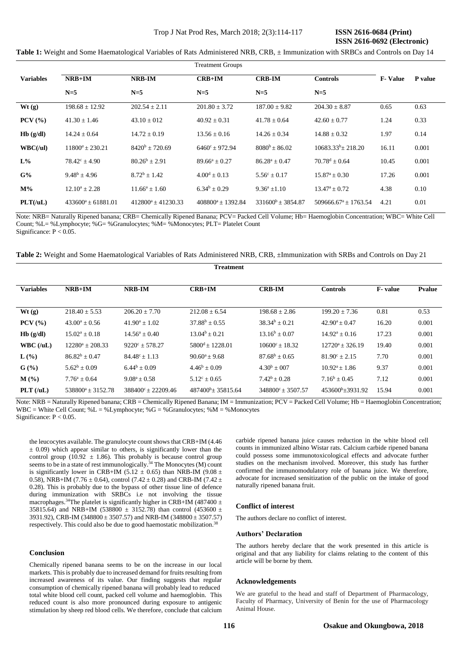**Table 1:** Weight and Some Haematological Variables of Rats Administered NRB, CRB, ± Immunization with SRBCs and Controls on Day 14

|                  | <b>Treatment Groups</b> |                       |                         |                        |                                          |                |                |
|------------------|-------------------------|-----------------------|-------------------------|------------------------|------------------------------------------|----------------|----------------|
| <b>Variables</b> | $NRB+IM$                | <b>NRB-IM</b>         | $CRB+IM$                | <b>CRB-IM</b>          | <b>Controls</b>                          | <b>F-Value</b> | <b>P</b> value |
|                  | $N=5$                   | $N=5$                 | $N=5$                   | $N=5$                  | $N=5$                                    |                |                |
| Wt(2)            | $198.68 \pm 12.92$      | $202.54 \pm 2.11$     | $201.80 \pm 3.72$       | $187.00 \pm 9.82$      | $204.30 \pm 8.87$                        | 0.65           | 0.63           |
| $PCV$ $(\%)$     | $41.30 \pm 1.46$        | $43.10 \pm 012$       | $40.92 \pm 0.31$        | $41.78 \pm 0.64$       | $42.60 \pm 0.77$                         | 1.24           | 0.33           |
| Hb(g/dl)         | $14.24 + 0.64$          | $14.72 \pm 0.19$      | $13.56 \pm 0.16$        | $14.26 \pm 0.34$       | $14.88 \pm 0.32$                         | 1.97           | 0.14           |
| WBC(lul)         | $11800^a + 230.21$      | $8420^b + 720.69$     | $6460^{\circ} + 972.94$ | $8080^b + 86.02$       | $10683.33^{b}$ + 218.20                  | 16.11          | 0.001          |
| $L\%$            | $78.42^{\circ} + 4.90$  | $80.26^b \pm 2.91$    | $89.66^a \pm 0.27$      | $86.28^a \pm 0.47$     | $70.78^{\rm d} \pm 0.64$                 | 10.45          | 0.001          |
| G%               | $9.48^b + 4.96$         | $8.72^b + 1.42$       | $4.00^d + 0.13$         | $5.56^{\circ} + 0.17$  | $15.87^{\mathrm{a}} + 0.30^{\mathrm{c}}$ | 17.26          | 0.001          |
| $M\%$            | $12.10^a \pm 2.28$      | $11.66^a \pm 1.60$    | $6.34^b \pm 0.29$       | $9.36^a + 1.10$        | $13.47^{\mathrm{a}} + 0.72$              | 4.38           | 0.10           |
| PLT(IuL)         | $433600^a + 61881.01$   | $412800^a + 41230.33$ | $408800^a + 1392.84$    | $331600^b \pm 3854.87$ | $509666.67^{\text{a}} + 1763.54$         | 4.21           | 0.01           |

Note: NRB= Naturally Ripened banana; CRB= Chemically Ripened Banana; PCV= Packed Cell Volume; Hb= Haemoglobin Concentration; WBC= White Cell Count; %L= %Lymphocyte; %G= %Granulocytes; %M= %Monocytes; PLT= Platelet Count Significance: P < 0.05.

**Table 2:** Weight and Some Haematological Variables of Rats Administered NRB, CRB, ±Immunization with SRBs and Controls on Day 21

**Treatment**

| <b>Variables</b> | $NRB+IM$             | NRB-IM                      | $CRB+IM$                    | <b>CRB-IM</b>              | <b>Controls</b>          | <b>F</b> -value | <b>Pvalue</b> |
|------------------|----------------------|-----------------------------|-----------------------------|----------------------------|--------------------------|-----------------|---------------|
|                  |                      |                             |                             |                            |                          |                 |               |
| Wt(g)            | $218.40 \pm 5.53$    | $206.20 \pm 7.70$           | $212.08 \pm 6.54$           | $198.68 \pm 2.86$          | $199.20 \pm 7.36$        | 0.81            | 0.53          |
| $PCV$ (%)        | $43.00^a \pm 0.56$   | $41.90^a \pm 1.02$          | $37.88^b + 0.55$            | $38.34^{b} + 0.21$         | $42.90^a \pm 0.47$       | 16.20           | 0.001         |
| Hb(g/dl)         | $15.02^a \pm 0.18$   | $14.56^a \pm 0.40$          | $13.04^b + 0.21$            | $13.16^b \pm 0.07$         | $14.92^a \pm 0.16$       | 17.23           | 0.001         |
| WBC (U/L)        | $12280^a + 208.33$   | $9220^{\circ} + 578.27$     | $5800^{\text{d}} + 1228.01$ | $10600^{\circ}$ + 18.32    | $12720^a + 326.19$       | 19.40           | 0.001         |
| $L(\%)$          | $86.82^b + 0.47$     | $84.48^{\circ} \pm 1.13$    | $90.60^a \pm 9.68$          | $87.68^b + 0.65$           | $81.90^{\circ} \pm 2.15$ | 7.70            | 0.001         |
| $G(\%)$          | $5.62^b \pm 0.09$    | $6.44^b \pm 0.09$           | $4.46^b \pm 0.09$           | $4.30^b + 0.07$            | $10.92^a + 1.86$         | 9.37            | 0.001         |
| $M(\%)$          | $7.76^a + 0.64$      | $9.08^a + 0.58$             | $5.12^{\circ} + 0.65$       | $7.42^b + 0.28$            | $7.16^b + 0.45$          | 7.12            | 0.001         |
| $PLT$ (/uL)      | $538800^a + 3152.78$ | $388400^{\circ}$ ± 22209.46 | $487400^b$ + 35815.64       | $348800^{\circ} + 3507.57$ | $453600^b + 3931.92$     | 15.94           | 0.001         |

Note: NRB = Naturally Ripened banana; CRB = Chemically Ripened Banana; IM = Immunization; PCV = Packed Cell Volume; Hb = Haemoglobin Concentration; WBC = White Cell Count;  $%L = \%L$ ymphocyte;  $%G = \%G$ ranulocytes;  $%M = \%M$ onocytes Significance: P < 0.05.

the leucocytes available. The granulocyte count shows that CRB+IM (4.46  $\pm$  0.09) which appear similar to others, is significantly lower than the control group (10.92  $\pm$  1.86). This probably is because control group seems to be in a state of rest immunologically.<sup>34</sup> The Monocytes (M) count is significantly lower in CRB+IM (5.12  $\pm$  0.65) than NRB-IM (9.08  $\pm$ 0.58), NRB+IM (7.76  $\pm$  0.64), control (7.42  $\pm$  0.28) and CRB-IM (7.42  $\pm$ 0.28). This is probably due to the bypass of other tissue line of defence during immunization with SRBCs i.e not involving the tissue macrophages.<sup>34</sup>The platelet is significantly higher in CRB+IM (487400  $\pm$ 35815.64) and NRB+IM (538800  $\pm$  3152.78) than control (453600  $\pm$ 3931.92), CRB-IM (348800  $\pm$  3507.57) and NRB-IM (348800  $\pm$  3507.57) respectively. This could also be due to good haemostatic mobilization.<sup>38</sup>

# **Conclusion**

Chemically ripened banana seems to be on the increase in our local markets. This is probably due to increased demand for fruits resulting from increased awareness of its value. Our finding suggests that regular consumption of chemically ripened banana will probably lead to reduced total white blood cell count, packed cell volume and haemoglobin. This reduced count is also more pronounced during exposure to antigenic stimulation by sheep red blood cells. We therefore, conclude that calcium

carbide ripened banana juice causes reduction in the white blood cell counts in immunized albino Wistar rats. Calcium carbide ripened banana could possess some immunotoxicological effects and advocate further studies on the mechanism involved. Moreover, this study has further confirmed the immunomodulatory role of banana juice. We therefore, advocate for increased sensitization of the public on the intake of good naturally ripened banana fruit.

### **Conflict of interest**

The authors declare no conflict of interest.

# **Authors' Declaration**

The authors hereby declare that the work presented in this article is original and that any liability for claims relating to the content of this article will be borne by them.

#### **Acknowledgements**

We are grateful to the head and staff of Department of Pharmacology, Faculty of Pharmacy, University of Benin for the use of Pharmacology Animal House.